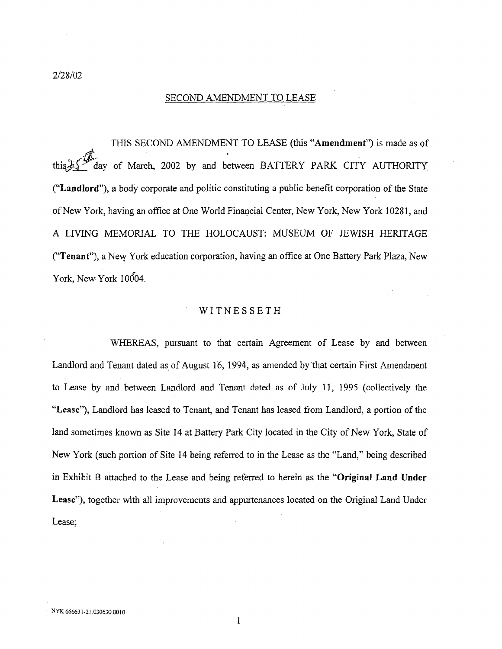2*/*28*/*02

## SECOND AMENDMENT TO LEASE

THIS SECOND AMENDMENT TO LEASE (this "Am**e**ndmen*t*") is made as of tiff ay of March, 2002 by and between BAT*T*ERY PARK *C*ITY AUTHORITY ("*L***a**n**d**l**o**rd"), a body corp*o*rate and politic constituting a public benefit corporation of the State of New York, having an office at One World Financial *C*enter, New York, New York 10281, and A LIVING MEMORIA*L* TO *T*HE HOLOCAUST: MUSEUM OF JEWISH HERITAGE ("Ten**a**n*t*"), a New York education corporation, having an office at One Battery Park Plaza, New York, New York 10004.

## **WITNESSETH**

WHERE*A*S, pursuant to that certain *A*greement of Lease by and between Landlord and Tenant dated as of August 16, 1994, as amended by that certain First Amendment to Lease by and between Landlord and Tenant dated as of July 11, 1995 (collectively the "Lea*s*e"), Landlord has leased to Tena*n*t, and Tenant has leased from Landlord, a portion of the land sometimes known as Site 14 at Battery Park City located in the City of New *Y*ork, State of New York (such portion of Site 14 being referred to in the Lease as the "Land," being described in Exhibit B attached to the Lease and being referred to herein as the "Original Land Under Leas**e**"), together with all improvements and appurtenances located on the Original Land Under Lease;

> 1 $\sim$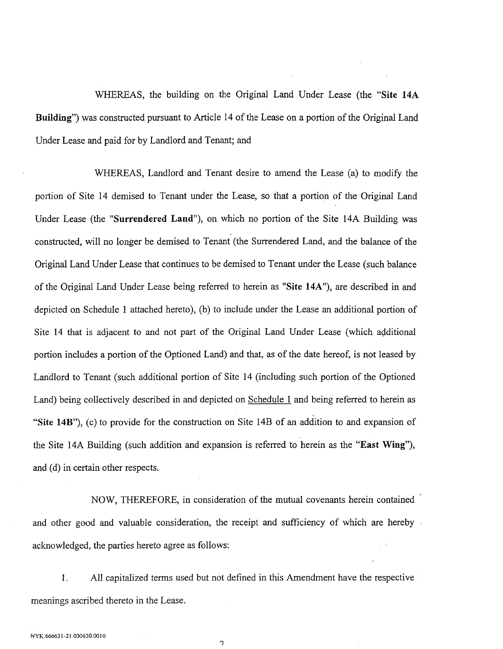WHEREAS, the building on the Original Land Under Lease (the "S**ite** 14A Building") was constructed pursuant to Article 14 of the Lease on a portion of the Original Land Under Lease and paid for by Landlord and Tenant; and

WHEREAS, Landlord and Tenant desire to amend the Lease (a) to modify the portion of Site 14 demised to Tenant under the Lease, so that a portion of the Original Land Under Lease (the "S**u**rr**e**nd**e**r**e**d Land"), on which no portion of the Site 14A Building was constructed, will no longer be demised to Tenant (the Surrendered Land*,* and the balance of the Original Land Under Lease that continues to be demised to Tenant under the Lease (such balance of the Original Land Under Lease being referred to herein as "Site 14A"), are described in and depicted on Schedule 1 attached hereto), (b) to include under the Lease an additional portion of Site 14 that is adjacent to and not part of the Original Land Under Lease (which additional portion includes a portion of the Optioned Land) and that, as of the date hereof, is not leased by Landlord to Tenant (such additional portion of Site 14 (including such portion of the Optioned Land) being collectively described in and depicted on Schedule 1 and being referred to herein as "Sit**e** 14B"), (c) to provide for the construction on Site 14B of an addition to and expansion of the Site 14A Building (such addition and expansion is referred to herein as the "East Wing"), and (d) in certain other respects.

NOW, THEREFORE, in consideration of the mutual covenants herein contained and other good and valuable consideration, the receipt and sufficiency of which are hereby acknowledged, the parties hereto agree as follows:

1. All capitalized terms used but not defined in this Amendment have the respective meanings ascribed thereto in the Lease.

o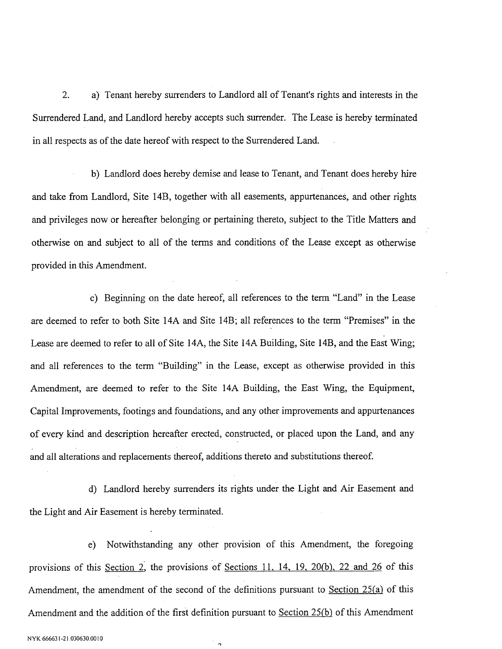2. a) Tenant hereby surrenders to Landlord all of Tenant's rights and i*nt*erests in the Surrendered Land, and Landlord hereby accepts such surrender. The Lease is hereby terminated in all respects as of the date hereof with respect to the Surrendered Land.

b) Landlord does hereby demise and lease to Tenant*,* and Tenant does hereby hire and take from Landlord*,* Site 14B, together with all easements, appurtenances*,* and other rights and privileges now or hereafter belonging or pertaining thereto, subject to the Title Matters and otherwise on and subject to all of the terms and conditions of the Lease except as otherwise provided in this Amendme*nt*.

c) Beginning on the date hereof, all references to the term "Land" in the Lease are deemed to refer to both Site 14A and Site 14B; all references to the term "Premises" in the Lease are deemed to refer to all of Site 14A, the Site 14A Building, Site 14B, and the East Wing; and all references to the term "Building" in the Lease, except as othe**r**wise provided in this Amendment*,* are deemed to refer to the Site 14A Building, the East Wing*,* the Equipme*nt*, Capital Improvements, footings and foundations, and any other improvements and appurtenances of every kind and description hereafter erected, constructed, or placed upon the Land, and any and all alterations and replacements thereof*,* additions thereto and substitutions thereof.

d) Landlord hereby surrenders its rights under the Light and Air Easement and the Light and Air Easement is hereby terminated.

e) Notwithstanding any other provision of this Amendment, the foregoing provisions of this Section 2*',* the provisions of Sections 11, 14, 19, 20*(b), 22 and 26* of this Amendment, the amendment of the second of the definitions pursuant to Section 25(a) of this Amendment and the addition of the first definition pursuant to Section 25*(b)* of this Amendment

 $\overline{a}$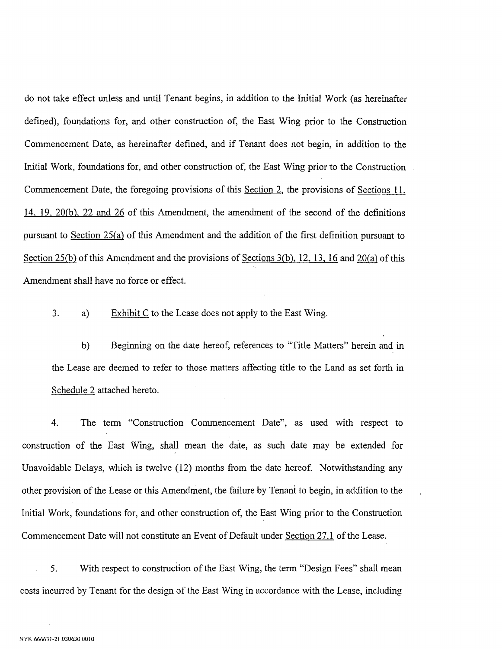do not take effect unless and until Tenant begins, in addition to the Initial Work (as hereinafter defined), foundations for, and other construction of*,* the East Wing prior to the Construction Commencement Date, as hereinafter defined, and if Tenant does not begin*,* in addition to the Initial Work, foundations for, and other construction of, the East Wing prior to the Construction Commencement Date*,* the foregoing provisions of this Section 2, the provisions of Sections 11, 14, 19, 20*(b), 22 and 26* of this Amendme*nt*, the amendment of the second of the definitions pursuant to Section 25*(a)* of this Amendment and the addition of the first definition pursuant to Section 25*(b)* of this Amendment and the provisions of Sections 3*(b), 12, 13, 16* and 20*(a)* of this Amendment shall have no force or effect.

3. a) Exhibit C to the Lease does not apply to the East Wing.

b) Beginning on the date hereof, references to "Title Matters" herein and in the Lease are deemed to refer to those matters affecting title to the Land as set forth in Schedule 2 attached hereto.

4. The term "Construction Commencement Date"*,* as used with respect to construction of the East Wing*,* shall mean the date, as such date may be extended for Unavoidable Delays, which is twelve (12) months from the date hereof. Notwithstanding any other provision of the Lease or this Amendme*nt*, the failure by Tenan\_ to begin, in addition to the Initial Work, foundations for, and other construction of, the East Wing prior to the Construction Commencement Date will not constitute an Eve*nt* of Default under Section 27.1 of the Lease.

5. With respect to construction of the East Wing*,* the term "Design Fees" shall mean costs incurred by Tenant for the design of the East Wing in accordance with the Lease, including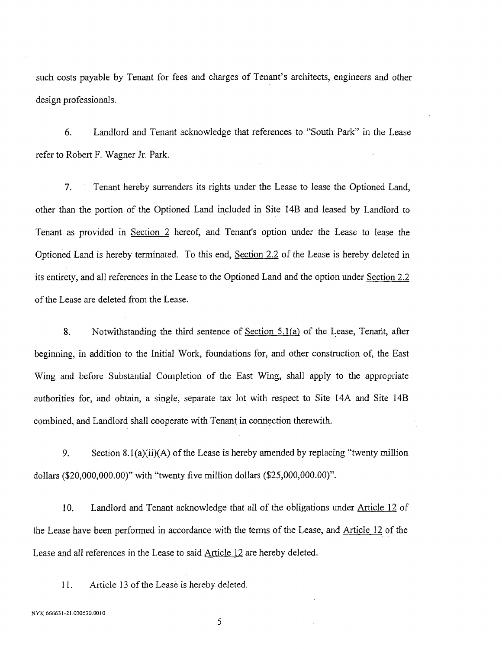such costs payable by Tenant for fees and charges of Tenant's architects, engineers and other design professionals.

6. Landlord and Tenant acknowledge that references to "South Park" in the *L*ease refer to Robert F. Wagner Jr. Park.

7. *T*enant hereby surrenders its rights under the Lease to lease the Optioned Land*,* other than the portion of the Optioned Land included in Site 14B and leased by Landlord to Tenant as provided in Section 2 hereof, and Tenant's option under the *L*ease to lease the Optioned *L*and is hereby terminated. To this end, Section 2.2 of the *L*ease is hereby deleted in its entirety, and all references in the Lease to the Optioned *L*and and the option under Section 2.2 of the *L*ease are deleted from the Lease.

8. Notwithstanding the third sentence of Section 5.1*(a)* of the Lease, Tenaflt, after beginning, in addition to the Initial Work, foundations for*,* and other construction of, the East Wing and before Substantial Completion of the East Wing, shall apply to the appropriate authorities for, and obtain, a single, separate tax lot with respect to Site 14A and Site 14B combined, and Landlord shall cooperate with Tenant in connection therewith.

9. Section 8.1 (a)(ii)(A) of the Lease is hereby amended by replacing "twenty million dollars (\$20,000,000.00)" with "twenty five million dollars (\$25,000,000.00)".

10. *L*andlord and Tenant acknowledge that all of the obligations under Article 12 of the Lease have been performed in accordance with the terms of the Lease, and Article 12 Of the Lease and all references in the Lease to said Article 12 are hereby deleted.

11. Article 13 of the Lease is hereby deleted.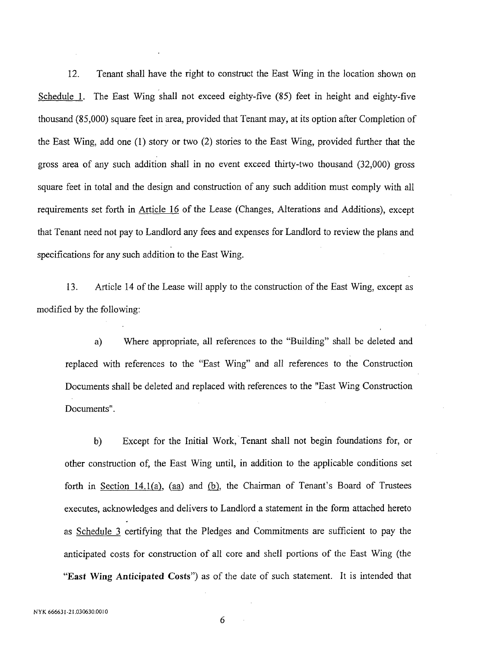12. Tenant shall have the right t**o** construct the East Wing in the locati**o**n shown on Schedule 1. *T*he East Wing shall not exceed eighty-five (85) feet in height and eighty-five thousand (85,000) square feet in area, provided that Tenant may, at its option after *C*ompletion of the East Wing, add one (1) story or two (2) stories to the East Wing, provided further tha*t* the gross area of any such addition shall in no event exceed thirty-two thousand (32,000) gross square feet in total and the design and construction of any such addition must comply with all requirements set forth in Article 16 of the Lease (Changes, Alterations and Additions), except that Tenant need not pay to Landlord any fees and expenses for *L*andlord to review the plans and specifications for any such addition to the East Wing.

13. Article 14 of the *L*ease will apply to the construc*t*ion of the East Wing, except as modified by the following:

a) Where appropriate, all references to the "Building" shall be deleted and replaced with references to the "East Wing" and all references to the Construction Documents shall be deleted and replaced with references to the "East Wing Construction Documents".

b) Except for the Initial Work, Tenant shall not begin foundations for, or other construction of, the East Wing until, in addition to the applicable conditions set forth in Section 14.1*(a),* (aa) and *(b),* the Chairman of Tenant's Board of Trustees executes, acknowledges and delivers to Landlord a statement in the form attached hereto as Schedule 3 certifying that the Pledges and Commitments are sufficient to pay the anticipated costs for construction of all core and shell portions of the East Wing (the "Eas*t* Wing *A*n*t***ic**ipa*t*ed *C***o**s*t*s") as of the date of such statement. It is intended that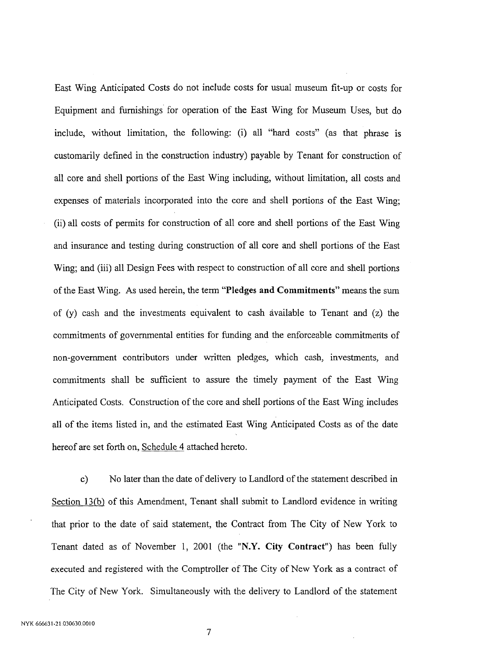East Wing Anticipated Costs do n**o**t include c**o**sts for usual museum fit-up or costs for Equipment and furnishings for operation of the East Wing for Museum Uses*,* but do include, without limitation, the following: (i) all "hard costs" (as that phrase is customarily defined in the construction industry) payable by Tenant for construction of all core and shell portions of the East Wing in*c*luding, without limitation*,* all costs and expenses of materials incorporated into the core and shell portions of the East Wing; (ii) all costs of permits for construction of all core and shell portions of the East Wing and insurance and testing during construction of all core and shell portions of the East Wing; and (iii) all Design Fees with respect to construction of all core and shell portions of the East Wing*.* As used herein, the term "Pledges and Commitments" means the sum of  $(v)$  cash and the investments equivalent to cash available to Tenant and  $(z)$  the commitments of governmental entities for funding and the enforceable commitmerits of non-government contributors under written pledges*,* which cash*,* investments*,* and commitments shall be sufficient to assure the timely payment of the East Wing Anticipated Costs. Construction of the core and shell portions of the East Wing includes all of the items listed in, and the estimated East Wing Anticipated Costs as of the date hereof are set forth on, Schedule 4 attached hereto.

c) No later than the date of delivery to Landlord of the statement described in Section 13(b) of this Amendment, Tenant shall submit to Landlord evidence in writing that prior to the date of said statement, the Contract from The City of New York to Tenant dated as of November 1, 2001 (the "N.Y. City Contract") has been fully executed and registered with the Comptroller of The City of New York as a contract of The City of New York. Simultaneously with the delivery to Landlord of the statement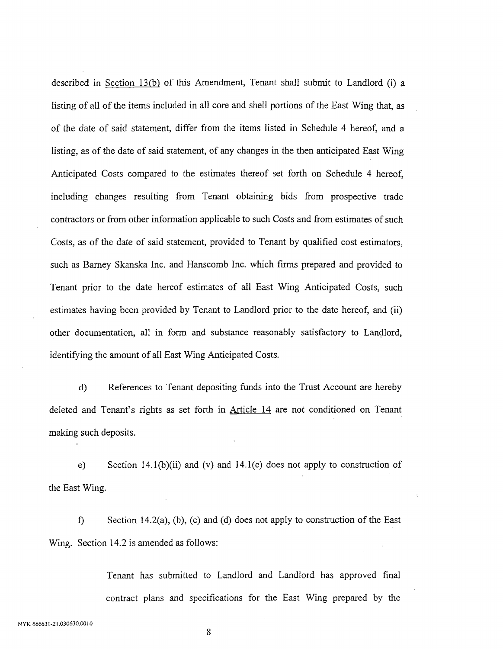described in Section 13*(b)* of this Amendment, Tenant shall submit t**o** Landlord (i) a listing of all of the items included in all core and shell portions of the East Wing that, as of the date of said statement, differ from the items listed in Schedule 4 hereof, and a listing, as of the date of said statement, of any changes in the then anticipated East Wing Anticipated Costs compared to the estimates thereof set forth on Schedule 4 hereof, including changes resulting from Tenant obtaining bids from prospective trade contractors or from other information applicable to such Costs and from estimates of such Costs, as of the date of said statement, provided to Tenant by qualified cost estimators, such as Barney Skanska Inc. and Hanscomb Inc. which firms prepared and provided to Tenant prior to the date hereof estimates of all East Wing Anticipated Costs, such estimates having been provided by Tenant to Landlord prior to the date hereof, and (ii) other documentation, all in form and substance reas**o**nably satisfactory to Landlord, identifying the amount of all East Wing Anticipated Costs.

d) References to Tenant depositing funds into the Trust Account are hereby deleted and Tenant's rights as set forth in Article 14 are not conditioned on Tenant making such deposits.

e) Section 14.1(b)(ii) and (v) and 14.1(c) does not apply to construction of the East Wing.

f) Section 14.2(a), (b), (c) and (d) does not apply to construction of the East Wing. Section 14.2 is amended as follows:

> *T*enant has submitted to Landlord and Landlord has approved final contract plans and specifications for the East Wing prepared by the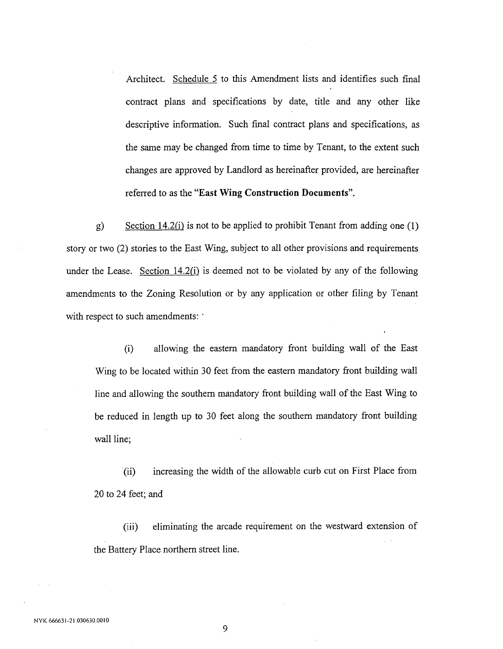Architect. Schedule 5 to this Amendment lists and identifies such final contract plans and specifications by date, title and any other like descriptive information. Such final contract plans and specifications, as the same may be changed from time to time by Tenant, to the extent such changes are approved by Landlord as hereinafter provided*,* are hereinafter referred to as the "East Wing *C*onstr**uc**tion **D**o**cu**ments".

g) Section 14.2*(i)* is not to be applied to prohibit Tenant from adding one (1) story or two (2) stories to the East Wing, subject to all other provisions and requirements under the Lease. Section 14.2*(i)* is deemed not to be violated by any of the following amendments to the Zoning Resolution or by any application or other filing by Tenant with respect to such amendments: '

(i) allowing the eastern mandatory front building wall of the East Wing to be located within 30 feet from the eastern mandatory front building wall line and allowing the southern mandatory fro*nt* building wall of the East Wing to be reduced in length up to 30 feet along the southern mandatory fro*nt* building wall line;

(ii) increasing the width of the allowable curb cut on First Place from 20 to 24 feet; and

(iii) eliminating the arcade requirement on the westward extension of the Battery Place northe*rn* street line.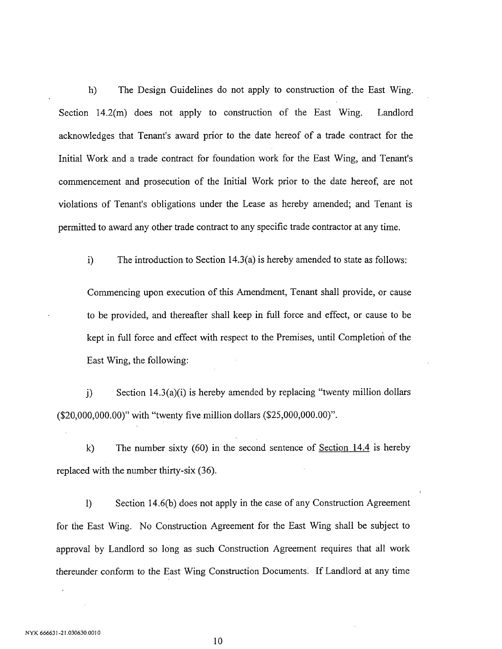h) The Design Guidelines do n**o**t apply to construction of the East Wing. Section 14.2(m) does not apply to construction of the East Wing. Landlord acknowledges that Tenant's award prior to the date hereof of a trade contract for the Initial Work and a trade contract for foundation work for the East Wing, and Tenant's commencement and prosecution of the Initial Work prior to the date hereof, are not violations of Tenant's obligations under the Lease as hereby amended; and Tenant is permitted to award any other trade contract to any specific trade contractor at any time.

i) The introduction to Section 14.3(a) is hereby amended to state as follows:

*C*ommencing upon execution of this Amendment, Tenant shall provide, or cause to be provided, and thereafter shall keep in full force and effect, or cause to be kept in full force and effect with respect to the Premises, until Completion of the East Wing, the following:

j) Section 14.3(a)(i) is hereby amended by replacing "twenty million dollars (\$20,000,000.00)" with "twenty five million dollars (\$25,000,000.00)".

k) The number sixty  $(60)$  in the second sentence of Section 14.4 is hereby replaced with the number thirty-six (36).

1) Section 14.6(b) does not apply in the case of any Construction Agreement for the East Wing. No Construction Agreement for the East Wing shall be subject to approval by Landlord so long as such Construction Agreement requires that all work thereunder conform to the East Wing Construction Documentsl If Landlord at any time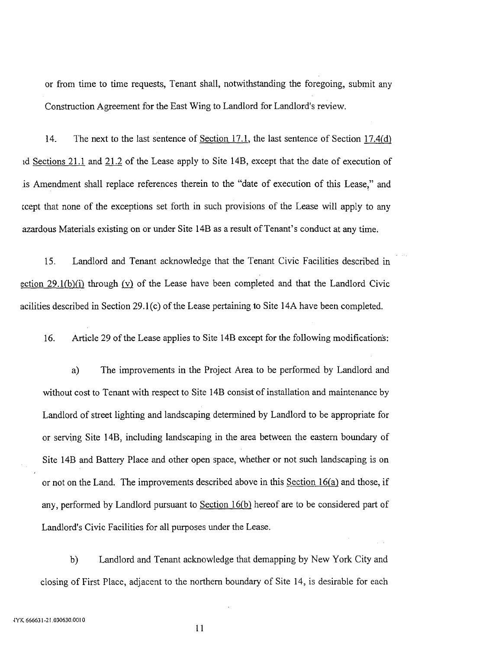or from time to time requests, Tenant shall, notwithstanding the foregoing, submit any Construction Agreement for the East Wing to Landlord for Landlord's review.

14. The next to the last sentence of Section 17.1, the last sentence of Section 17.4*(d)* \_dSections 21.1 and 21.2 of the Lease apply to Site 14B*,* except that the date of execution of is Amendment shall replace references therein to the "date of execution of this Lease," and \_cept that none of the exceptions set forth in such provisions of the Lease will apply to any azardous Materials existing on or under Site 14B as a result of Tenant's conduct at any time.

15. Landlord and Tenant acknowledge that the Tenant Civic Facilities described in ection 29.1*(b)(i)* through *(v)* of the Lease have been completed and that the Landlord Civic acilities described in Section 29.1 (c) of the Lease pertaining to Site 14A have been completed.

16. Article 29 of the Lease applies to Site 14B except for the following modifications:

a) The improvements in the Project Area to be performed by Landlord and without cost to Tenant with respect to Site 14B consist of installation and maintenance by Landlord of street lighting and landscaping determined by Landlord to be appropriate for or serving Site 14B, including landscaping in the area between the eastern boundary of Site 14B and Battery Place and other open space, whether or not such landscaping is on or not on the Land. The improvements described above in this Section 16*(a)* and those, if any, performed by Landlord pursuant to Section 16*(b)* hereof are to be considered part of Landlord's Civic Facilities for all purp**o**ses under the Lease.

b) Landlord and *T*enant acknowledge that demapping by New York City and closing of First Place, adjacent to the northern boundary of Site 14, is desirable for each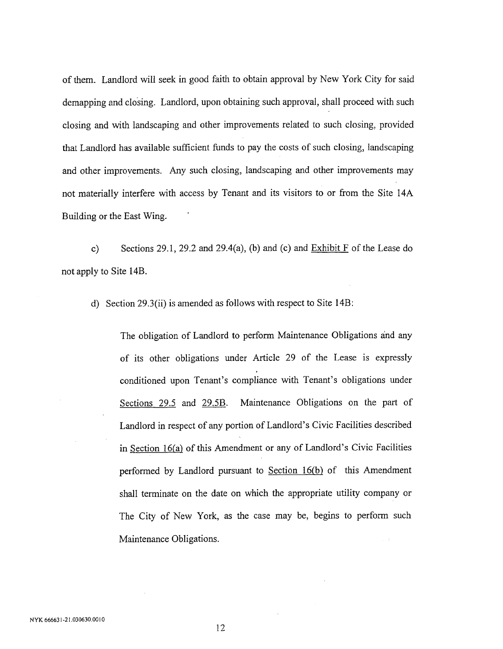of them. Landlord will seek in good faith to obtain approval by New York City for said demapping and closing. Landlord, upon obtaining such approval, shall proceed with such closing and with landscaping and other improvements related to such closing, provided that Landlord has available sufficient funds to pay the costs of such closing, landscaping and other improvements. Any such closing, landscaping and other improvements may not materially interfere with access by Tenant and its visitors to or from the Site 14A Building or the East Wing.

c) Sections 29.1, 29.2 and 29.4(a), (b) and (c) and  $Exhibit F$  of the Lease do not apply to Site 14B.

d) Section 29.3(ii) is amended as follows with respect to Site 14B:

The obligation of Landlord to perform Maintenance Obligations ahd any of its other obligations under Article 29 of the Lease is expressly conditioned upon Tenant's compliance with Tenant's obligations under Sections 29.5 and 29.5B. Maintenance Obligations on the part of Landlord in respect of any portion of Landlord's Civic Facilities described in Section 16*(a)* of this Amendment or any of Landlord's Civic Facilities performed by Landlord pursuant to Section 16*(b)* of this Amendment shall terminate on the date on which the appropriate utility company or The City of New York, as the case may be, begins to perform such Maintenance Obligations.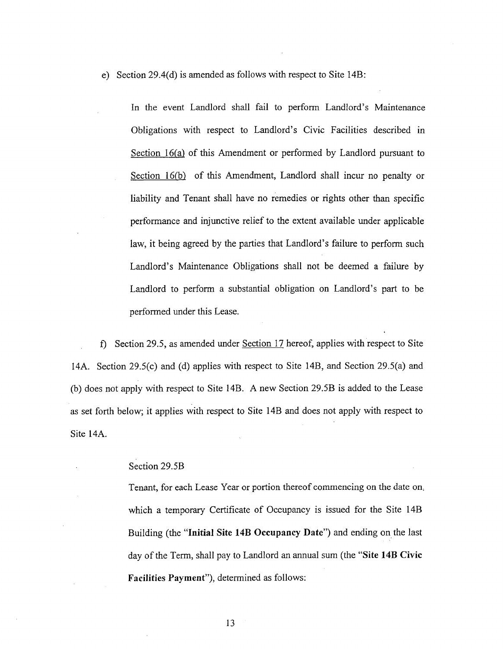e) Secti**o**n 29.4(d) is amended as follows with respect to Site 14B:

In the event Landlord shall fail to perform Landlord's Maintenance Obligations with respect to Landlord's Civic Facilities described in Section 16*(a)* of this Amendment or performed by Landlord pursuant to Section 16*(b)* of this Amendment, Landlord shall incur no penalty or liability and Tenant shall have no remedies or rights other than specific performance and injunctive relief to the extent available under applicable law, it being agreed by the parties that Landlord's failure to perform such Landlord's Maintenance Obligations shall not be deemed a failure by Landlord to perform a substantial obligation on Landlord's part to be performed under this Lease.

f'*)* Section 29.5, as amended under Section 17 hereof, applies with respect to Site 14A. Section 29.5(c) and (d) applies with respect to Site 14B, and Section 29.5(a) and (b) does not apply with respect to Site 14B. A new Section 29.5B is added to the Lease as set forth below; it applies With respect to Site 14B and does not apply with respect to Site 14A*.*

## Section 29.5B

*T*enant, for each Lease Year or portion thereof commencing on the date on\_ which a temporary Certificate of Occupancy is issued for the Site 14B Building (the "Ini**t**ial Si**t**e 14B Oc**cu**pancy Da**t**e") and ending on the last day of the Term, shall pay to Landlord an annual sum (the "Site 14B Civi**c** Fa**c**ilities Payment"), determined as follows: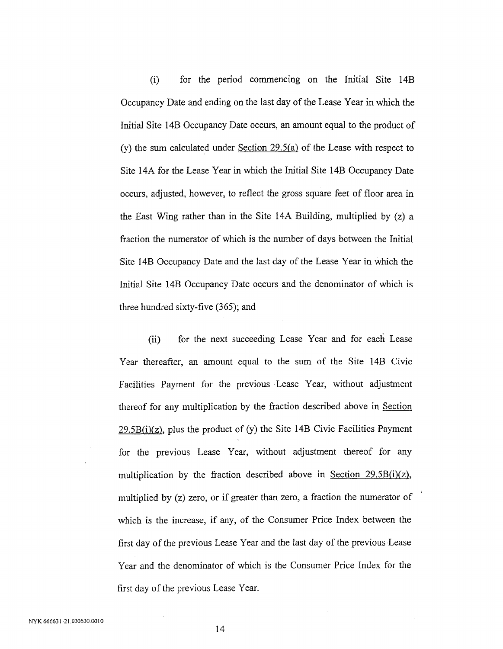(i) f**o**r the peri**o**d c**o**mmencing **o**n the Initial Site 14B Occupancy Date and ending on the last day **o**f the Lease Year in which the Initial Site 14B Occupancy Date **o**ccurs, an am**o**unt equal t**o** the pr**o**duct **o**f (y) the sum calculated under Section 29.*5(a)* **o**f the Lease with respect t**o** Site 14A f**o**r the Lease Year in which the Initial Site 14B Occupancy Date **o**ccurs, adjusted, h**o**wever, t**o** reflect the gr**o**ss square feet **o**f fl**oo**r area in the East Wing rather than in the Site 14A Building, multiplied by (z) a fracti**o**n the numerat**o**r **o**f which is the number **o**f days between the Initial Site 14B Occupancy Date and the last day **o**f the Lease Year in which the Initial Site 1*4*B Occupancy Date **o**ccurs and the den**o**minat**o**r of which is three hundred sixty-five (3*6*5); and

(ii) for the next succeeding Lease Year and for each Lease Year thereafter, an amount equal to the sum of the Site 14B Civic Facilities Payment for the previous .Lease Year, without adjustment thereof for any multiplication by the fraction described above in Section 29.5B*(i)(z),* plus the product of (y) the Site 14B Civic Facilities Payment for the previous Lease Year, without adjustment thereof for any multiplication by the fraction described above in Section 29.5B*(i)(z),* multiplied by (z) zero, or if greater than zero, a fraction the numerator of which is the increase, if any, of the Consumer Price Index between the first day of the previous Lease Year and the last day of the previous Lease Year and the denominator of which is the Consumer Price Index for the first day of the previous Lease Year.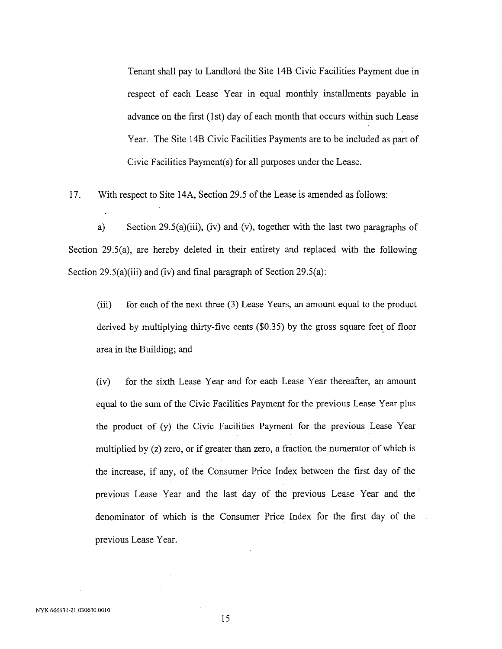Tenant shall pay to Landlord the Site 14B Civic Facilities Payment due in respect of each Lease Year in equal monthly installments payable in advance on the first (1st) day of each month that occurs within such *L*ease Year. The Site 14B Civic Facilities Payments are to be included as part of Civic Facilities Payment(s) for all purposes under the Lease.

17. With respect to Site 14A, Section 29.5 of the Lease is amended as follows:

a) Section 29.5(a)(iii)*,* (iv) and (v), together with the last two paragraphs of Section 29.5(a), are hereby deleted in their entirety and replaced with the following Section 29.5(a)(iii) and (iv) and final paragraph of Section 29.5(a):

(iii) for each of the next three (3) *L*ease Years, an amount equal to the product derived by multiplying thirty-five cents (\$0.35) by the gross square feet of floor area in the Building; and

(iv) for the sixth Lease Year and for each Lease Year thereafter, an amount equal to the sum of the Civic Facilities Payment for the previous Lease Year plus the product of (y) the Civic Facilities Payment for the previous Lease Year multiplied by (z) zero, or if greater than zero, a fraction the numerator of which is the increase, if any, of the Consumer Price Index between the first day of the previous Lease Year and the last day of the previous Lease Year and the' denominator of which is the Consumer Price Index for the first day of the previous Lease Year.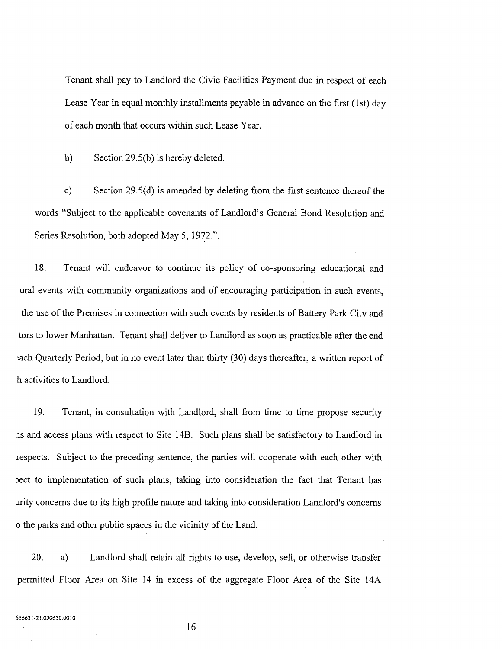Tenant shall pay to Landlord the Civic Facilities Payment due in respect of each Lease Year in equal monthly installments payable in advance on the first (1st) day of each month that occurs within such Lease Year.

b) Section 29.5(b) is hereby deleted.

c) Section 29.5(d) is amended by deleting from the first sentence thereof the words "Subject to the applicable covenants of Landlord's General Bond Resolution and Series Resolution*,* both adopted May 5, 1972,".

18. Tenant will endeavor to continue its policy of co-sponsoring educational and *:*ural events with community organizations and of encouraging participation in such events, the use of the Premises in connection with such events by residents of Battery Park City and tors to lower Manhattan. Tenant shall deliver to Landlord as soon as practicable after the end each Quarterly Period, but in no event later than thirty (30) days thereafter, a written report of h activities to Landlord.

19. Tenant, in consultation with Landlord, shall from time to time propose security as and access plans with respect to Site 14B. Such plans shall be satisfactory to Landlord in respects. Subject to the preceding sentence*,* the parties will cooperate with each other with \_ect to implementation of such plans*,* taking into consideration the fact that Tenant has urity concerns due to its high profile nature and taking into consideration Landlord's concerns o the parks and other public spaces in the vicinity of the Land.

20. a) Landlord shall retain all rights to use, develop, sell, or otherwise transfer permitted Floor Area on Site 14 in excess of the aggregate Floor Area of the Site 14A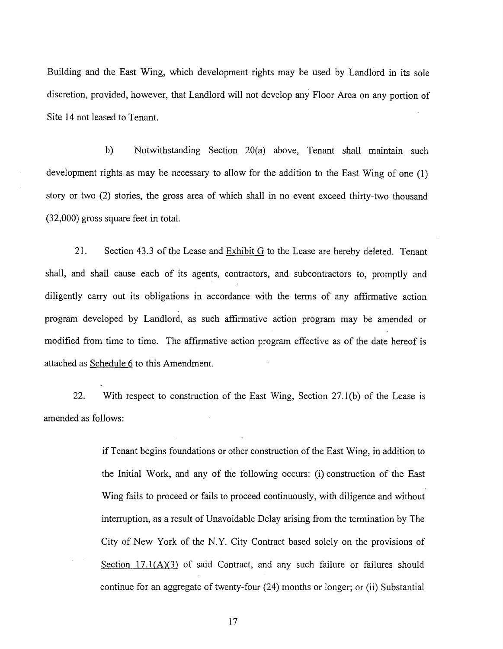Building and the East Wing, which development rights may be used by Landlord in its sole discretion, provided, however, that Landlord will not develop any Floor Area on any portion of Site 14 not leased to Tenant.

b) Notwithstanding Section 20(a) above, Tenant shall maintain such development rights as may be necessary to allow for the addition to the East Wing of one (1) story or two (2) stories, the gross area of which shall in no event exceed thirty-two thousand (32,000) gross square feet in total.

21. Section 43.3 of the Lease and Exhibit G to the Lease are hereby deleted. Tenant shall, and shall cause each of its agents, contractors, and subcontractors to, promptly and diligently carry out its obligations in accordance with the terms of any affirmative action program developed by Landlord, as such affirmative action program may be amended or modified from time to time. The affirmative action program effective as of the date hereof is attached as Schedule 6 to this Amendment.

22. With respect to construction of the East Wing, Section 27.1(b) of the Lease is amended as follows:

> if Tenant begins foundations or other construction of the East Wing, in addition to the Initial Work, and any of the following occurs: (i) construction of the East Wing fails to proceed or fails to proceed continuously, with diligence and without ' interruption, as a result of Unavoidable Delay arising from the termination by The City of New York of the N.Y. City Contract based solely on the provisions of Section 17.1*(A)(3)* of said Contract, and any such failure or failures should continue for an aggregate of twenty-four (24) months or longer; or (ii) Substantial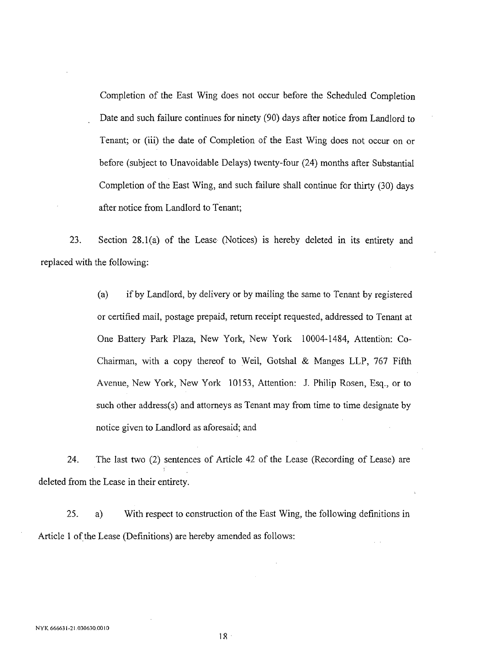Completion of the East Wing does not occur before the Scheduled Completion Date and such failure continues for ninety (90) days after notice from Landlord to *T*enant; or (iii) the date of Completion of the East Wing does not occur on or before (subject to Unavoidable Delays) twenty-four (24) months after Substantial Completion of the East Wing, and such failure shall continue for thirty (30) days after notice from Landlord to Tenant;

23. Section 28.1(a) of the Lease (Notices) is hereby deleted in its entirety and replaced with the following:

> (a) if by Landlord, by delivery or by mailing the same to *T*enant by registered or certified mail, postage prepaid, return receipt requested, addressed to Tenant at One Battery Park Plaza, New York, New York 10004-1484, Attention: Co-Chairman, with a copy thereof to Weil, Gotshal & Manges LLP, 767 Fifth Avenue, New York, New York 10153, Attention: J. Philip Rosen, Esq., or to such other address(s) and attorneys as Tenant may from time to time designate by notice given to Landlord as aforesaid; and

24. The last two (2) sentences of Article 42 of the Lease (Recording of Lease) are deleted from the *L*ease in their entirety.

25. a) With respect to construction of the East Wing, the following definitions in Article 1 of the *L*ease (Definitions) are hereby amended as follows: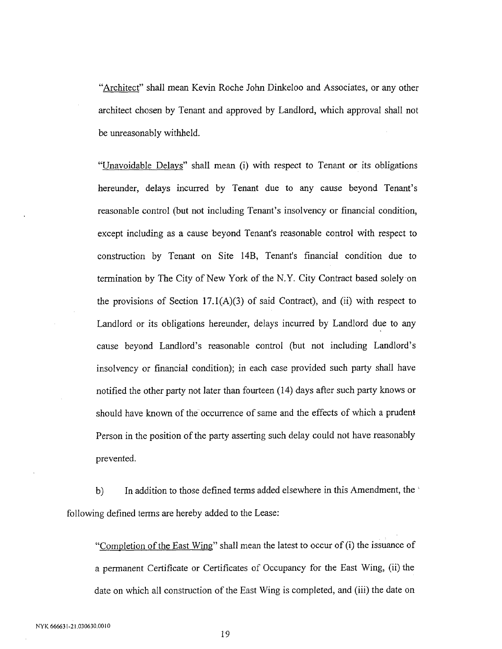"Architect" shall mean Kevin Roche John Dinkeloo and Associates, or any other archite*c*t chosen by Tenant and approved by Landlord, which approval shall not be unreasonably withheld.

"Unavoidable Dela*ys*" shall mean (i) with respe*c*t to Tenant or its obligations hereunder*,* delays in*c*urred by Tenant due to any cause beyond Tenant's reasonable *c*ontrol (but not in*c*luding Tenant's insolvency or financial condition, except including as a cause bey*o*nd Tena*n*t's reasonable control with respect to construction by Tenant on Site 14B, Tenant's finan*c*ial condition due to termination by The City of New York of the N.Y. City Contract based solely on the provisions of Section  $17.1(A)(3)$  of said Contract), and (ii) with respect to Landlord or its obligations hereunder, delays incurred by Landlord due to any cause beyond Landlord's reasonable control (but not including Landlord's insolvency or financial condition); in each case provided such party shall have notified the other party not later than fourteen (14) days after such party knows or should have known of the occurrence of same and the effects of which a p*ru*dent Person in the position of the party asserting such delay *c*ould not have reasonably prevented.

b) In addition to those defined terms added elsewhere in this Amendment, the following defined terms are hereby added to the Lease:

"Completion of the East Wing" shall mean the latest to oc*c*ur of (i) the issuance of a permanent Certificate or Certificates of Occupancy for the East Wing, (ii) the date on which all construction of the East *W*ing is completed, and (iii) the date on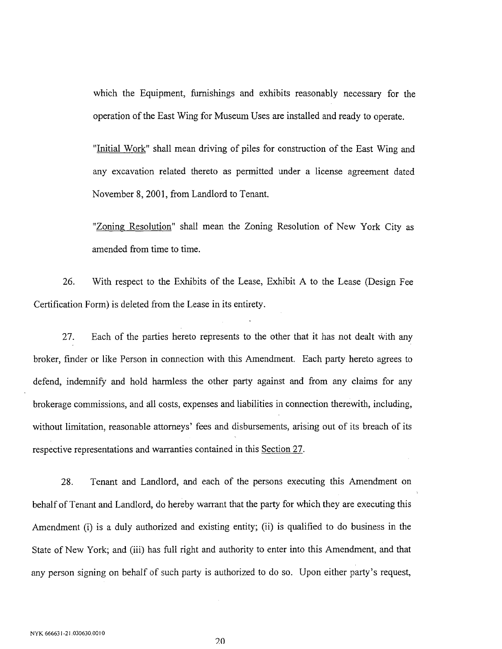which the Equipment, furnishings and exhibits reasonably necessary for the operation of the East Wing for Museum Uses are installed and ready to operate.

"Initial Work" shall mean driving of piles for construction of the East Wing and any excavation related thereto as permitted under a license agreement dated November 8, 2001, from Landlord to Tenant.

"Zoning Resolution" shall mean the Zoning Resolution of New York City as amended from time to time.

26. With respect to the Exhibits of the Lease, Exhibit A to the Lease (Design Fee Certificati**o**n Form) is deleted from the Lease in its entirety.

27. Each of the parties hereto represents to the other that it has not dealt With any broker, finder or like Person in connection with this Amendment. Each party hereto agrees to defend, indemnify and hold harmless the other party against and from any claims for any brokerage commissions, and all costs, expenses and liabilities in connection therewith, including*,* without limitation, reasonable attorneys' fees and disbursements, arising out of its breach of its respective representations and warranties contained in this Section 27.

28. Tenant and Landlord, and each of the persons executing this Amendment on behalf of Tenant and Landlord, do hereby warrant that the party for which they are executing this Amendment (i) is a duly authorized and existing entity; (ii) is qualified to do business in the State of New York; and (iii) has full right and authority to enter into this Amendment, and that any person signing on behalf of such party is authorized to do so. Upon either party's request,